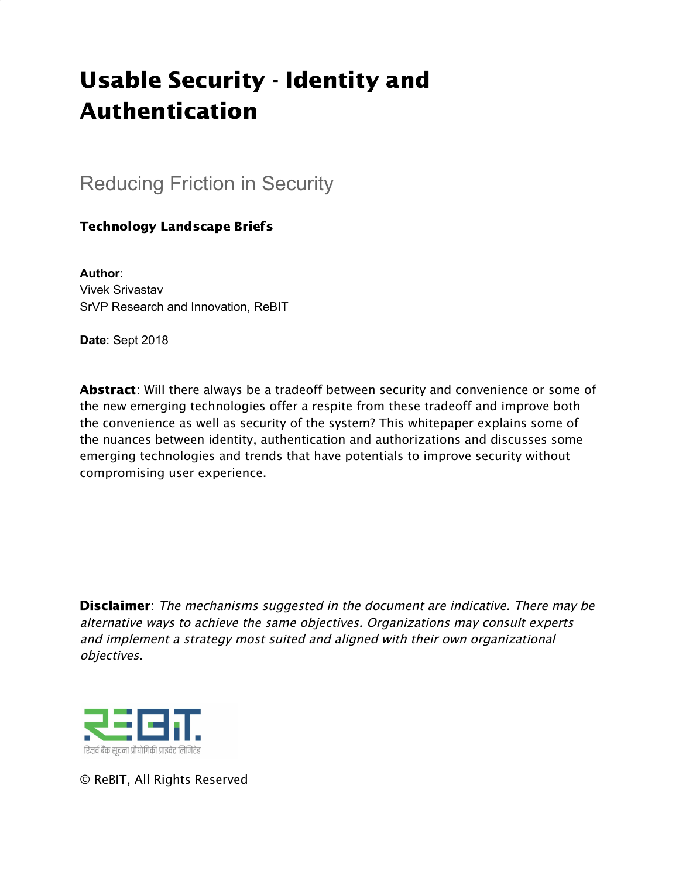# Usable Security - Identity and Authentication

### Reducing Friction in Security

### Technology Landscape Briefs

**Author**: Vivek Srivastav SrVP Research and Innovation, ReBIT

**Date**: Sept 2018

Abstract: Will there always be a tradeoff between security and convenience or some of the new emerging technologies offer a respite from these tradeoff and improve both the convenience as well as security of the system? This whitepaper explains some of the nuances between identity, authentication and authorizations and discusses some emerging technologies and trends that have potentials to improve security without compromising user experience.

**Disclaimer**: The mechanisms suggested in the document are indicative. There may be alternative ways to achieve the same objectives. Organizations may consult experts and implement <sup>a</sup> strategy most suited and aligned with their own organizational objectives.



© ReBIT, All Rights Reserved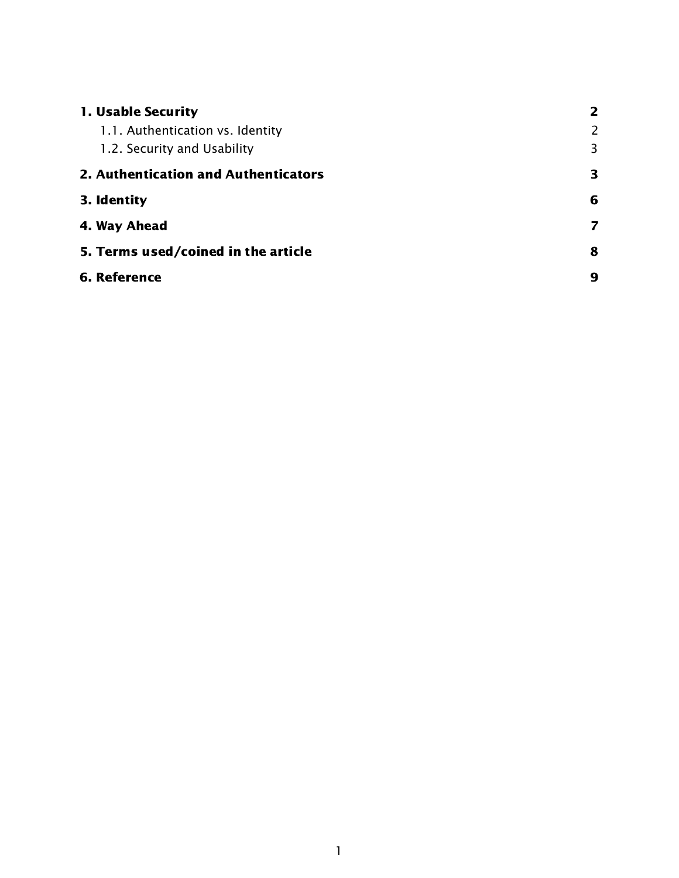<span id="page-1-0"></span>

| 1. Usable Security                   |   |
|--------------------------------------|---|
| 1.1. Authentication vs. Identity     | 2 |
| 1.2. Security and Usability          | 3 |
| 2. Authentication and Authenticators | 3 |
| 3. Identity                          | 6 |
| 4. Way Ahead                         | 7 |
| 5. Terms used/coined in the article  | 8 |
| 6. Reference                         | 9 |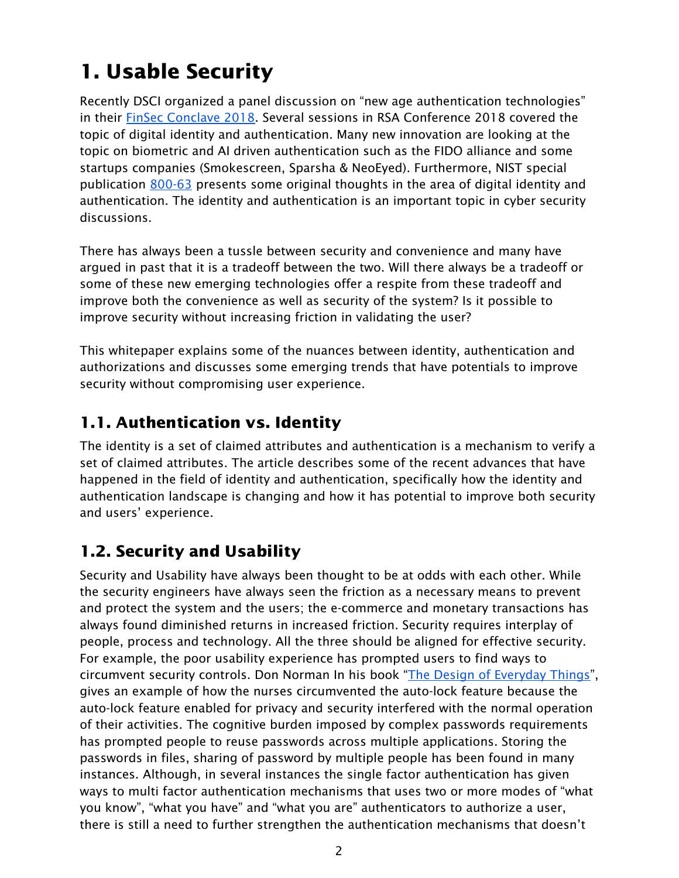## 1. Usable Security

Recently DSCI organized a panel discussion on "new age authentication technologies" in their FinSec [Conclave](https://www.dsci.in/finsec-conclave-2018/) 2018. Several sessions in RSA Conference 2018 covered the topic of digital identity and authentication. Many new innovation are looking at the topic on biometric and AI driven authentication such as the FIDO alliance and some startups companies (Smokescreen, Sparsha & NeoEyed). Furthermore, NIST special publication [800-63](https://pages.nist.gov/800-63-3/) presents some original thoughts in the area of digital identity and authentication. The identity and authentication is an important topic in cyber security discussions.

There has always been a tussle between security and convenience and many have argued in past that it is a tradeoff between the two. Will there always be a tradeoff or some of these new emerging technologies offer a respite from these tradeoff and improve both the convenience as well as security of the system? Is it possible to improve security without increasing friction in validating the user?

This whitepaper explains some of the nuances between identity, authentication and authorizations and discusses some emerging trends that have potentials to improve security without compromising user experience.

### <span id="page-2-0"></span>1.1. Authentication vs. Identity

The identity is a set of claimed attributes and authentication is a mechanism to verify a set of claimed attributes. The article describes some of the recent advances that have happened in the field of identity and authentication, specifically how the identity and authentication landscape is changing and how it has potential to improve both security and users' experience.

### <span id="page-2-1"></span>1.2. Security and Usability

Security and Usability have always been thought to be at odds with each other. While the security engineers have always seen the friction as a necessary means to prevent and protect the system and the users; the e-commerce and monetary transactions has always found diminished returns in increased friction. Security requires interplay of people, process and technology. All the three should be aligned for effective security. For example, the poor usability experience has prompted users to find ways to circumvent security controls. Don Norman In his book "The Design of [Everyday](https://en.wikipedia.org/wiki/The_Design_of_Everyday_Things) Things", gives an example of how the nurses circumvented the auto-lock feature because the auto-lock feature enabled for privacy and security interfered with the normal operation of their activities. The cognitive burden imposed by complex passwords requirements has prompted people to reuse passwords across multiple applications. Storing the passwords in files, sharing of password by multiple people has been found in many instances. Although, in several instances the single factor authentication has given ways to multi factor authentication mechanisms that uses two or more modes of "what you know", "what you have" and "what you are" authenticators to authorize a user, there is still a need to further strengthen the authentication mechanisms that doesn't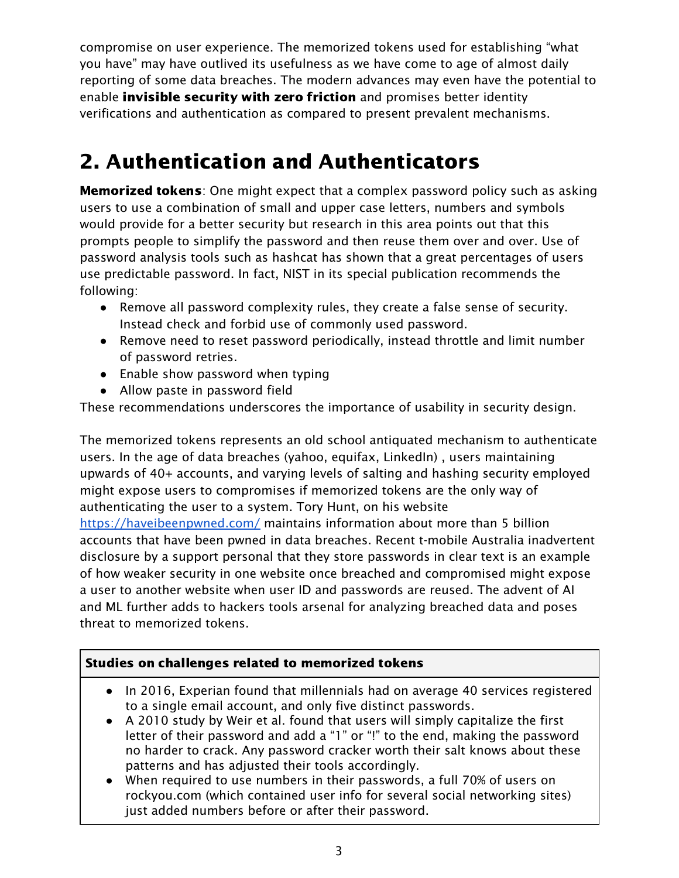compromise on user experience. The memorized tokens used for establishing "what you have" may have outlived its usefulness as we have come to age of almost daily reporting of some data breaches. The modern advances may even have the potential to enable *invisible security with zero friction* and promises better identity verifications and authentication as compared to present prevalent mechanisms.

## <span id="page-3-0"></span>2. Authentication and Authenticators

**Memorized tokens:** One might expect that a complex password policy such as asking users to use a combination of small and upper case letters, numbers and symbols would provide for a better security but research in this area points out that this prompts people to simplify the password and then reuse them over and over. Use of password analysis tools such as hashcat has shown that a great percentages of users use predictable password. In fact, NIST in its special publication recommends the following:

- Remove all password complexity rules, they create a false sense of security. Instead check and forbid use of commonly used password.
- Remove need to reset password periodically, instead throttle and limit number of password retries.
- Enable show password when typing
- Allow paste in password field

These recommendations underscores the importance of usability in security design.

The memorized tokens represents an old school antiquated mechanism to authenticate users. In the age of data breaches (yahoo, equifax, LinkedIn) , users maintaining upwards of 40+ accounts, and varying levels of salting and hashing security employed might expose users to compromises if memorized tokens are the only way of authenticating the user to a system. Tory Hunt, on his website

<https://haveibeenpwned.com/> maintains information about more than 5 billion accounts that have been pwned in data breaches. Recent t-mobile Australia inadvertent disclosure by a support personal that they store passwords in clear text is an example of how weaker security in one website once breached and compromised might expose a user to another website when user ID and passwords are reused. The advent of AI and ML further adds to hackers tools arsenal for analyzing breached data and poses threat to memorized tokens.

### Studies on challenges related to memorized tokens

- In 2016, Experian found that millennials had on average 40 services registered to a single email account, and only five distinct passwords.
- A 2010 study by Weir et al. found that users will simply capitalize the first letter of their password and add a "1" or "!" to the end, making the password no harder to crack. Any password cracker worth their salt knows about these patterns and has adjusted their tools accordingly.
- When required to use numbers in their passwords, a full 70% of users on rockyou.com (which contained user info for several social networking sites) just added numbers before or after their password.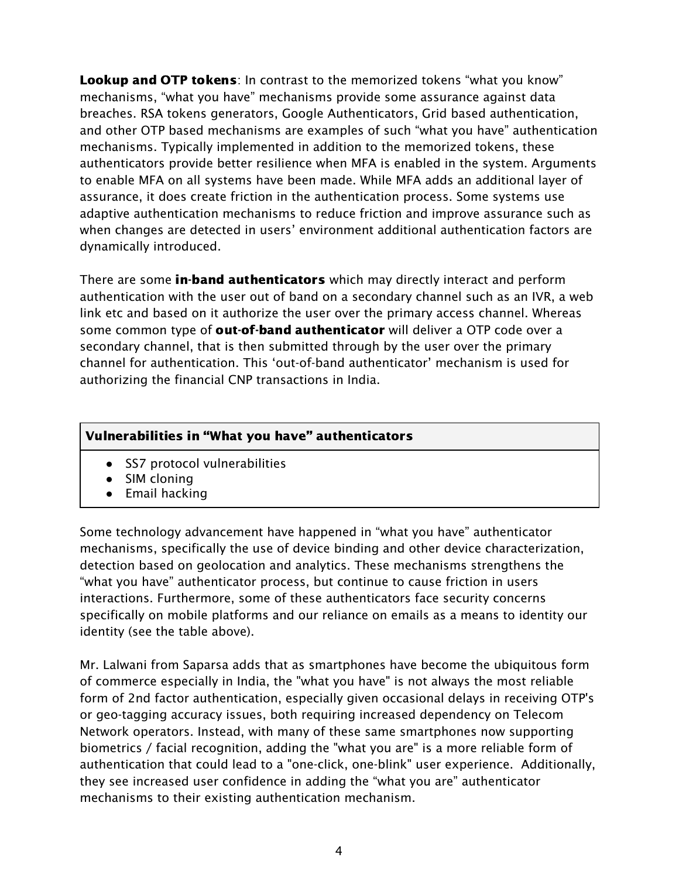Lookup and OTP tokens: In contrast to the memorized tokens "what you know" mechanisms, "what you have" mechanisms provide some assurance against data breaches. RSA tokens generators, Google Authenticators, Grid based authentication, and other OTP based mechanisms are examples of such "what you have" authentication mechanisms. Typically implemented in addition to the memorized tokens, these authenticators provide better resilience when MFA is enabled in the system. Arguments to enable MFA on all systems have been made. While MFA adds an additional layer of assurance, it does create friction in the authentication process. Some systems use adaptive authentication mechanisms to reduce friction and improve assurance such as when changes are detected in users' environment additional authentication factors are dynamically introduced.

There are some in-band authenticators which may directly interact and perform authentication with the user out of band on a secondary channel such as an IVR, a web link etc and based on it authorize the user over the primary access channel. Whereas some common type of **out-of-band authenticator** will deliver a OTP code over a secondary channel, that is then submitted through by the user over the primary channel for authentication. This 'out-of-band authenticator' mechanism is used for authorizing the financial CNP transactions in India.

#### Vulnerabilities in "What you have" authenticators

- SS7 protocol vulnerabilities
- SIM cloning
- Email hacking

Some technology advancement have happened in "what you have" authenticator mechanisms, specifically the use of device binding and other device characterization, detection based on geolocation and analytics. These mechanisms strengthens the "what you have" authenticator process, but continue to cause friction in users interactions. Furthermore, some of these authenticators face security concerns specifically on mobile platforms and our reliance on emails as a means to identity our identity (see the table above).

Mr. Lalwani from Saparsa adds that as smartphones have become the ubiquitous form of commerce especially in India, the "what you have" is not always the most reliable form of 2nd factor authentication, especially given occasional delays in receiving OTP's or geo-tagging accuracy issues, both requiring increased dependency on Telecom Network operators. Instead, with many of these same smartphones now supporting biometrics / facial recognition, adding the "what you are" is a more reliable form of authentication that could lead to a "one-click, one-blink" user experience. Additionally, they see increased user confidence in adding the "what you are" authenticator mechanisms to their existing authentication mechanism.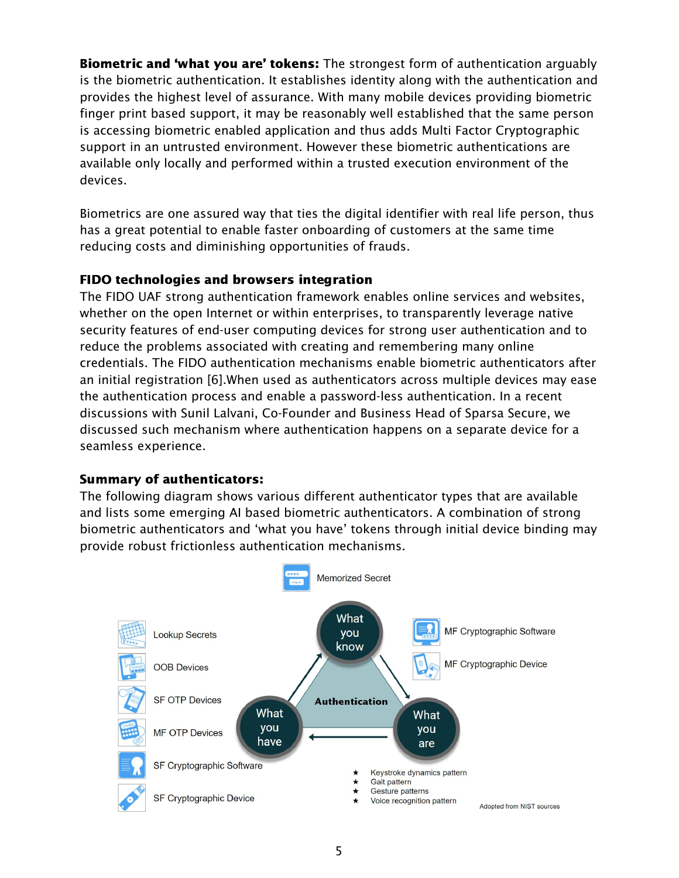**Biometric and 'what you are' tokens:** The strongest form of authentication arguably is the biometric authentication. It establishes identity along with the authentication and provides the highest level of assurance. With many mobile devices providing biometric finger print based support, it may be reasonably well established that the same person is accessing biometric enabled application and thus adds Multi Factor Cryptographic support in an untrusted environment. However these biometric authentications are available only locally and performed within a trusted execution environment of the devices.

Biometrics are one assured way that ties the digital identifier with real life person, thus has a great potential to enable faster onboarding of customers at the same time reducing costs and diminishing opportunities of frauds.

#### FIDO technologies and browsers integration

The FIDO UAF strong authentication framework enables online services and websites, whether on the open Internet or within enterprises, to transparently leverage native security features of end-user computing devices for strong user authentication and to reduce the problems associated with creating and remembering many online credentials. The FIDO authentication mechanisms enable biometric authenticators after an initial registration [6].When used as authenticators across multiple devices may ease the authentication process and enable a password-less authentication. In a recent discussions with Sunil Lalvani, Co-Founder and Business Head of Sparsa Secure, we discussed such mechanism where authentication happens on a separate device for a seamless experience.

#### Summary of authenticators:

The following diagram shows various different authenticator types that are available and lists some emerging AI based biometric authenticators. A combination of strong biometric authenticators and 'what you have' tokens through initial device binding may provide robust frictionless authentication mechanisms.

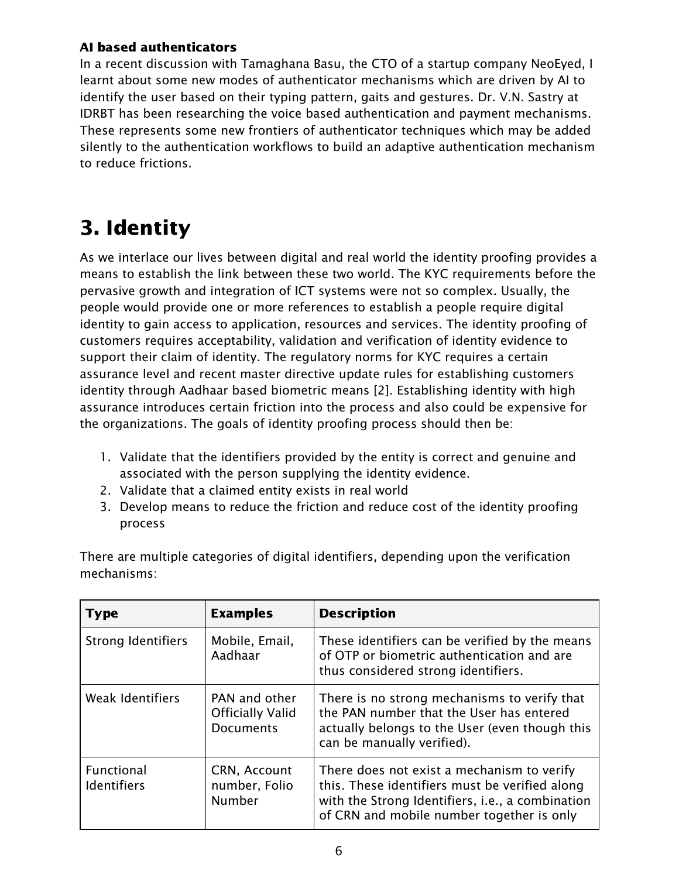#### AI based authenticators

In a recent discussion with Tamaghana Basu, the CTO of a startup company NeoEyed, I learnt about some new modes of authenticator mechanisms which are driven by AI to identify the user based on their typing pattern, gaits and gestures. Dr. V.N. Sastry at IDRBT has been researching the voice based authentication and payment mechanisms. These represents some new frontiers of authenticator techniques which may be added silently to the authentication workflows to build an adaptive authentication mechanism to reduce frictions.

### <span id="page-6-0"></span>3. Identity

As we interlace our lives between digital and real world the identity proofing provides a means to establish the link between these two world. The KYC requirements before the pervasive growth and integration of ICT systems were not so complex. Usually, the people would provide one or more references to establish a people require digital identity to gain access to application, resources and services. The identity proofing of customers requires acceptability, validation and verification of identity evidence to support their claim of identity. The regulatory norms for KYC requires a certain assurance level and recent master directive update rules for establishing customers identity through Aadhaar based biometric means [2]. Establishing identity with high assurance introduces certain friction into the process and also could be expensive for the organizations. The goals of identity proofing process should then be:

- 1. Validate that the identifiers provided by the entity is correct and genuine and associated with the person supplying the identity evidence.
- 2. Validate that a claimed entity exists in real world
- 3. Develop means to reduce the friction and reduce cost of the identity proofing process

There are multiple categories of digital identifiers, depending upon the verification mechanisms:

| <b>Type</b>                      | <b>Examples</b>                                              | <b>Description</b>                                                                                                                                                                            |
|----------------------------------|--------------------------------------------------------------|-----------------------------------------------------------------------------------------------------------------------------------------------------------------------------------------------|
| <b>Strong Identifiers</b>        | Mobile, Email,<br>Aadhaar                                    | These identifiers can be verified by the means<br>of OTP or biometric authentication and are<br>thus considered strong identifiers.                                                           |
| <b>Weak Identifiers</b>          | PAN and other<br><b>Officially Valid</b><br><b>Documents</b> | There is no strong mechanisms to verify that<br>the PAN number that the User has entered<br>actually belongs to the User (even though this<br>can be manually verified).                      |
| Functional<br><b>Identifiers</b> | CRN, Account<br>number, Folio<br>Number                      | There does not exist a mechanism to verify<br>this. These identifiers must be verified along<br>with the Strong Identifiers, i.e., a combination<br>of CRN and mobile number together is only |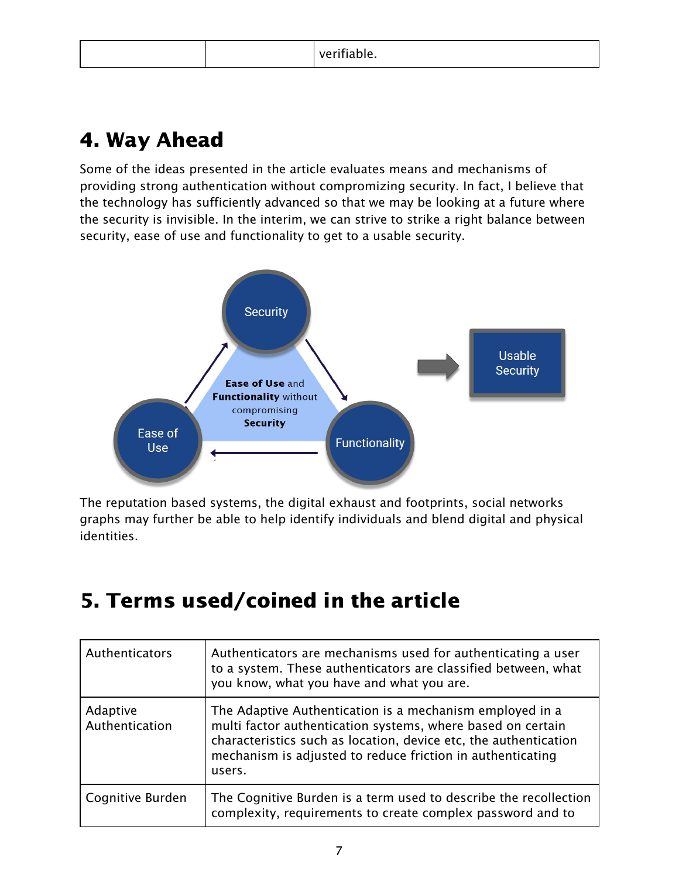|--|

### <span id="page-7-0"></span>4. Way Ahead

Some of the ideas presented in the article evaluates means and mechanisms of providing strong authentication without compromizing security. In fact, I believe that the technology has sufficiently advanced so that we may be looking at a future where the security is invisible. In the interim, we can strive to strike a right balance between security, ease of use and functionality to get to a usable security.



The reputation based systems, the digital exhaust and footprints, social networks graphs may further be able to help identify individuals and blend digital and physical identities.

### <span id="page-7-1"></span>5. Terms used/coined in the article

| Authenticators             | Authenticators are mechanisms used for authenticating a user<br>to a system. These authenticators are classified between, what<br>you know, what you have and what you are.                                                                                         |
|----------------------------|---------------------------------------------------------------------------------------------------------------------------------------------------------------------------------------------------------------------------------------------------------------------|
| Adaptive<br>Authentication | The Adaptive Authentication is a mechanism employed in a<br>multi factor authentication systems, where based on certain<br>characteristics such as location, device etc, the authentication<br>mechanism is adjusted to reduce friction in authenticating<br>users. |
| Cognitive Burden           | The Cognitive Burden is a term used to describe the recollection<br>complexity, requirements to create complex password and to                                                                                                                                      |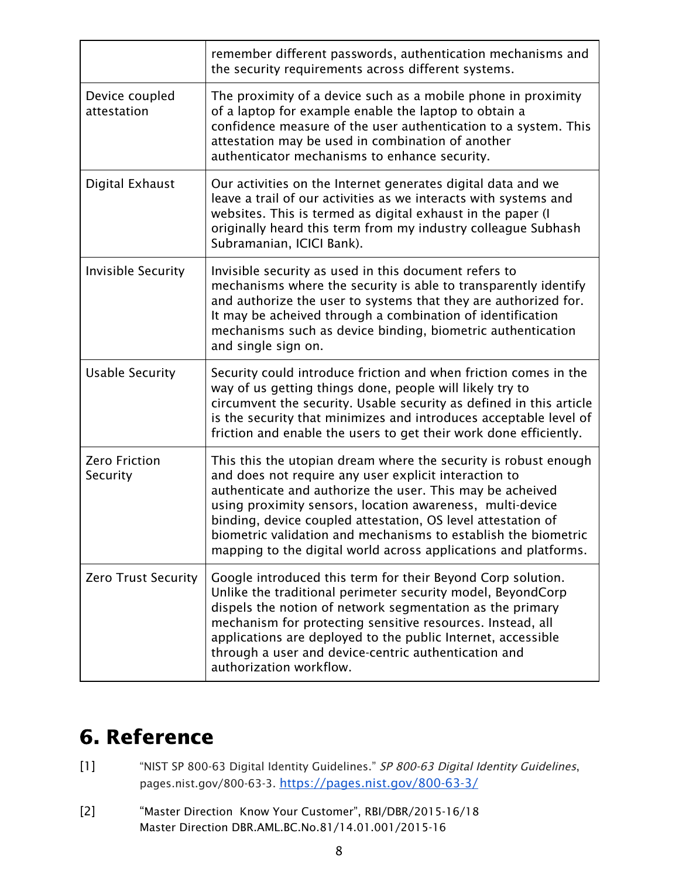|                                  | remember different passwords, authentication mechanisms and<br>the security requirements across different systems.                                                                                                                                                                                                                                                                                                                                      |
|----------------------------------|---------------------------------------------------------------------------------------------------------------------------------------------------------------------------------------------------------------------------------------------------------------------------------------------------------------------------------------------------------------------------------------------------------------------------------------------------------|
| Device coupled<br>attestation    | The proximity of a device such as a mobile phone in proximity<br>of a laptop for example enable the laptop to obtain a<br>confidence measure of the user authentication to a system. This<br>attestation may be used in combination of another<br>authenticator mechanisms to enhance security.                                                                                                                                                         |
| Digital Exhaust                  | Our activities on the Internet generates digital data and we<br>leave a trail of our activities as we interacts with systems and<br>websites. This is termed as digital exhaust in the paper (I<br>originally heard this term from my industry colleague Subhash<br>Subramanian, ICICI Bank).                                                                                                                                                           |
| <b>Invisible Security</b>        | Invisible security as used in this document refers to<br>mechanisms where the security is able to transparently identify<br>and authorize the user to systems that they are authorized for.<br>It may be acheived through a combination of identification<br>mechanisms such as device binding, biometric authentication<br>and single sign on.                                                                                                         |
| <b>Usable Security</b>           | Security could introduce friction and when friction comes in the<br>way of us getting things done, people will likely try to<br>circumvent the security. Usable security as defined in this article<br>is the security that minimizes and introduces acceptable level of<br>friction and enable the users to get their work done efficiently.                                                                                                           |
| <b>Zero Friction</b><br>Security | This this the utopian dream where the security is robust enough<br>and does not require any user explicit interaction to<br>authenticate and authorize the user. This may be acheived<br>using proximity sensors, location awareness, multi-device<br>binding, device coupled attestation, OS level attestation of<br>biometric validation and mechanisms to establish the biometric<br>mapping to the digital world across applications and platforms. |
| <b>Zero Trust Security</b>       | Google introduced this term for their Beyond Corp solution.<br>Unlike the traditional perimeter security model, BeyondCorp<br>dispels the notion of network segmentation as the primary<br>mechanism for protecting sensitive resources. Instead, all<br>applications are deployed to the public Internet, accessible<br>through a user and device-centric authentication and<br>authorization workflow.                                                |

## <span id="page-8-0"></span>6. Reference

- [1] "NIST SP 800-63 Digital Identity Guidelines." SP 800-63 Digital Identity Guidelines, pages.nist.gov/800-63-3. <https://pages.nist.gov/800-63-3/>
- [2] "Master Direction Know Your Customer", RBI/DBR/2015-16/18 Master Direction DBR.AML.BC.No.81/14.01.001/2015-16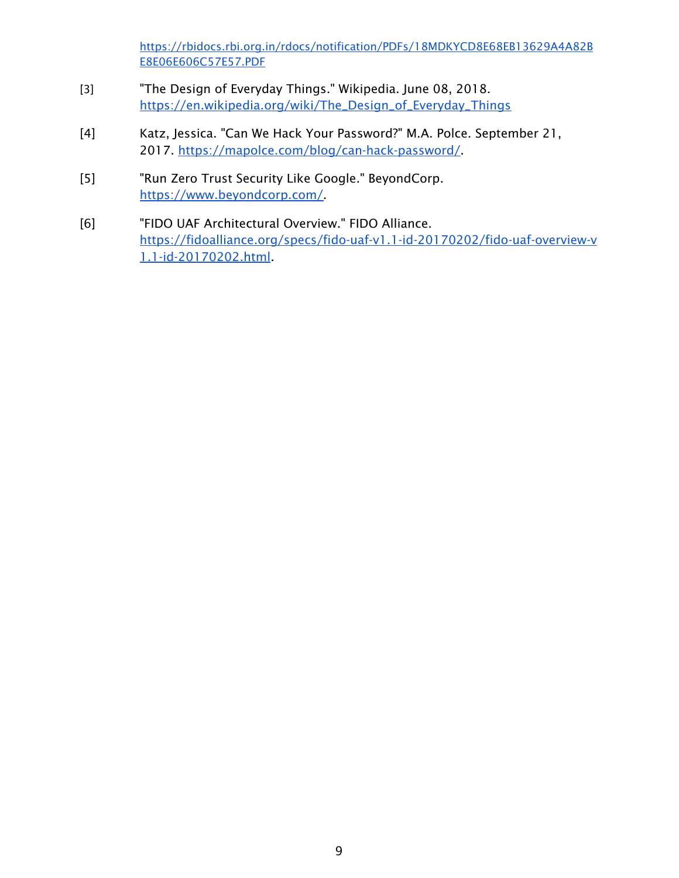[https://rbidocs.rbi.org.in/rdocs/notification/PDFs/18MDKYCD8E68EB13629A4A82B](https://rbidocs.rbi.org.in/rdocs/notification/PDFs/18MDKYCD8E68EB13629A4A82BE8E06E606C57E57.PDF) [E8E06E606C57E57.PDF](https://rbidocs.rbi.org.in/rdocs/notification/PDFs/18MDKYCD8E68EB13629A4A82BE8E06E606C57E57.PDF)

- [3] "The Design of Everyday Things." Wikipedia. June 08, 2018. [https://en.wikipedia.org/wiki/The\\_Design\\_of\\_Everyday\\_Things](https://en.wikipedia.org/wiki/The_Design_of_Everyday_Things)
- [4] Katz, Jessica. "Can We Hack Your Password?" M.A. Polce. September 21, 2017. [https://mapolce.com/blog/can-hack-password/.](https://mapolce.com/blog/can-hack-password/)
- [5] "Run Zero Trust Security Like Google." BeyondCorp. [https://www.beyondcorp.com/.](https://www.beyondcorp.com/)
- [6] "FIDO UAF Architectural Overview." FIDO Alliance. [https://fidoalliance.org/specs/fido-uaf-v1.1-id-20170202/fido-uaf-overview-v](https://fidoalliance.org/specs/fido-uaf-v1.1-id-20170202/fido-uaf-overview-v1.1-id-20170202.html) [1.1-id-20170202.html](https://fidoalliance.org/specs/fido-uaf-v1.1-id-20170202/fido-uaf-overview-v1.1-id-20170202.html).